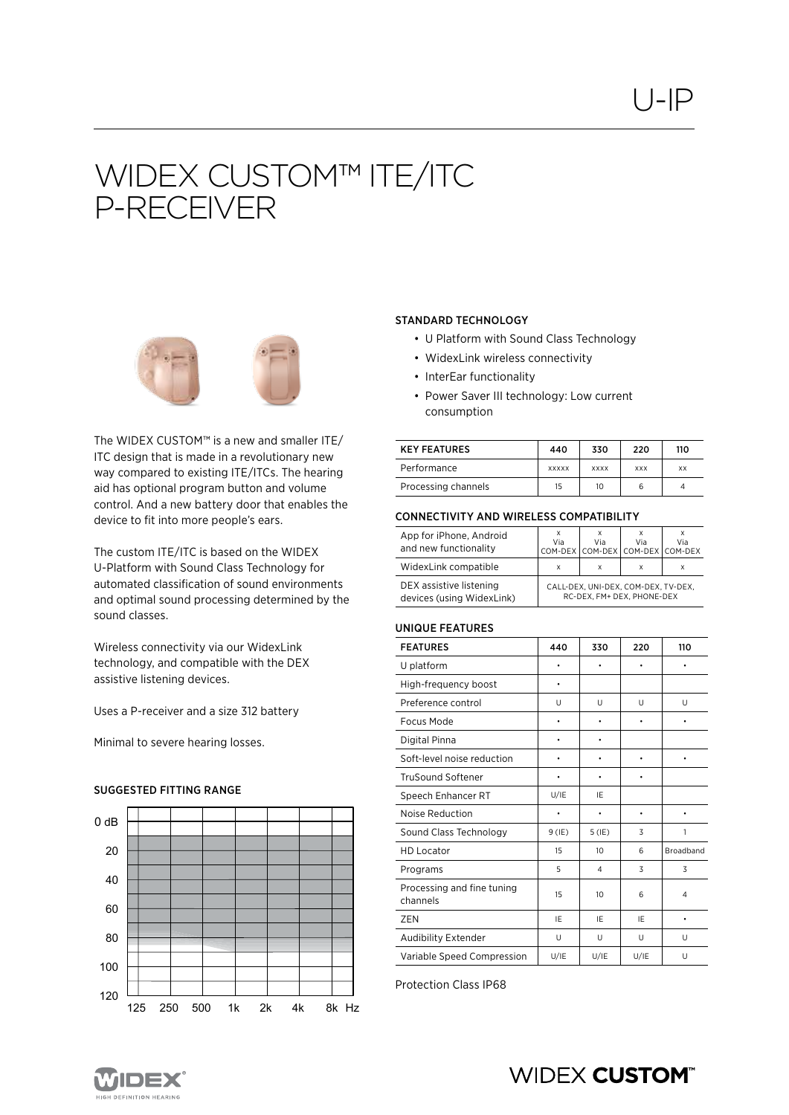# WIDEX CUSTOM™ ITE/ITC P-RECEIVER



The WIDEX CUSTOM™ is a new and smaller ITE/ ITC design that is made in a revolutionary new way compared to existing ITE/ITCs. The hearing aid has optional program button and volume control. And a new battery door that enables the device to fit into more people's ears.

The custom ITE/ITC is based on the WIDEX U-Platform with Sound Class Technology for automated classification of sound environments and optimal sound processing determined by the sound classes.

Wireless connectivity via our WidexLink technology, and compatible with the DEX assistive listening devices.

Uses a P-receiver and a size 312 battery

Minimal to severe hearing losses.

## SUGGESTED FITTING RANGE **Suggested fittingrange**:



## STANDARD TECHNOLOGY

- U Platform with Sound Class Technology
- WidexLink wireless connectivity
- InterEar functionality
- Power Saver III technology: Low current consumption

| <b>KEY FEATURES</b> | 440          | 330         | 220        | 110 |
|---------------------|--------------|-------------|------------|-----|
| Performance         | <b>XXXXX</b> | <b>XXXX</b> | <b>XXX</b> | XX  |
| Processing channels | 15           | 10          |            |     |

## CONNECTIVITY AND WIRELESS COMPATIBILITY

| App for iPhone, Android<br>and new functionality     | x<br>Via                                                          | x<br>Via | Via<br>COM-DEX COM-DEX COM-DEX COM-DEX | Via |
|------------------------------------------------------|-------------------------------------------------------------------|----------|----------------------------------------|-----|
| WidexLink compatible                                 | X                                                                 | X        | x                                      |     |
| DEX assistive listening<br>devices (using WidexLink) | CALL-DEX, UNI-DEX, COM-DEX, TV-DEX,<br>RC-DEX, FM+ DEX, PHONE-DEX |          |                                        |     |

### UNIQUE FEATURES

| <b>FEATURES</b>                        | 440      | 330            | 220       | 110              |
|----------------------------------------|----------|----------------|-----------|------------------|
| U platform                             | ٠        | ٠              | $\bullet$ |                  |
| High-frequency boost                   | ٠        |                |           |                  |
| Preference control                     | U        | U              | U         | U                |
| Focus Mode                             |          | ٠              |           |                  |
| Digital Pinna                          |          | ٠              |           |                  |
| Soft-level noise reduction             |          | ٠              | ٠         |                  |
| <b>TruSound Softener</b>               |          |                |           |                  |
| Speech Enhancer RT                     | U/IE     | IE             |           |                  |
| Noise Reduction                        |          | ٠              | ٠         |                  |
| Sound Class Technology                 | $9$ (IE) | $5$ (IE)       | 3         | 1                |
| <b>HD Locator</b>                      | 15       | 10             | 6         | <b>Broadband</b> |
| Programs                               | 5        | $\overline{4}$ | 3         | 3                |
| Processing and fine tuning<br>channels | 15       | 10             | 6         | 4                |
| ZEN                                    | IE       | IE             | IE        |                  |
| Audibility Extender                    | U        | U              | U         | U                |
| Variable Speed Compression             | U/IE     | U/IE           | U/IE      | U                |

Protection Class IP68



## **WIDEX CUSTOM®**